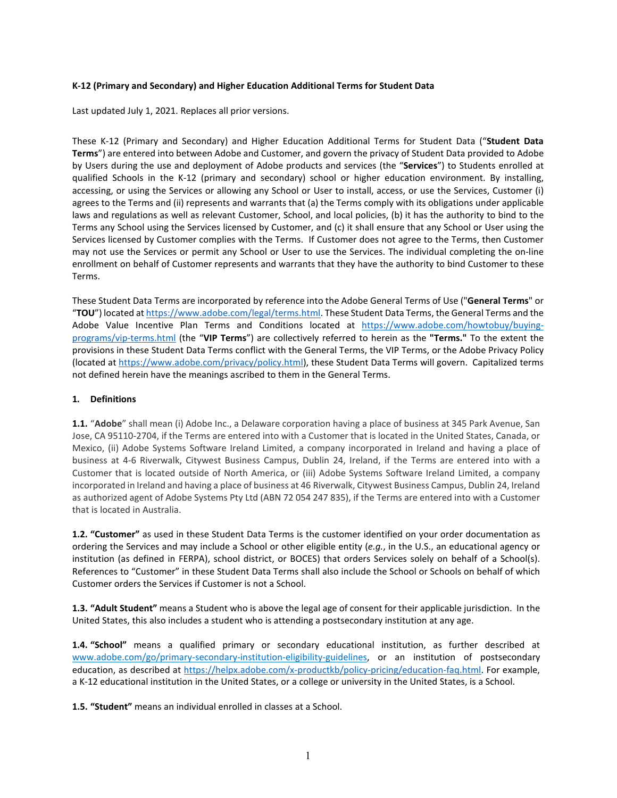## **K-12 (Primary and Secondary) and Higher Education Additional Terms for Student Data**

Last updated July 1, 2021. Replaces all prior versions.

These K-12 (Primary and Secondary) and Higher Education Additional Terms for Student Data ("**Student Data Terms**") are entered into between Adobe and Customer, and govern the privacy of Student Data provided to Adobe by Users during the use and deployment of Adobe products and services (the "**Services**") to Students enrolled at qualified Schools in the K-12 (primary and secondary) school or higher education environment. By installing, accessing, or using the Services or allowing any School or User to install, access, or use the Services, Customer (i) agrees to the Terms and (ii) represents and warrants that (a) the Terms comply with its obligations under applicable laws and regulations as well as relevant Customer, School, and local policies, (b) it has the authority to bind to the Terms any School using the Services licensed by Customer, and (c) it shall ensure that any School or User using the Services licensed by Customer complies with the Terms. If Customer does not agree to the Terms, then Customer may not use the Services or permit any School or User to use the Services. The individual completing the on-line enrollment on behalf of Customer represents and warrants that they have the authority to bind Customer to these Terms.

These Student Data Terms are incorporated by reference into the Adobe General Terms of Use ("**General Terms**" or "**TOU**") located a[t https://www.adobe.com/legal/terms.html.](https://www.adobe.com/legal/terms.html) These Student Data Terms, the General Terms and the Adobe Value Incentive Plan Terms and Conditions located at [https://www.adobe.com/howtobuy/buying](https://www.adobe.com/howtobuy/buying-programs/vip-terms.html)[programs/vip-terms.html](https://www.adobe.com/howtobuy/buying-programs/vip-terms.html) (the "**VIP Terms**") are collectively referred to herein as the **"Terms."** To the extent the provisions in these Student Data Terms conflict with the General Terms, the VIP Terms, or the Adobe Privacy Policy (located at [https://www.adobe.com/privacy/policy.html\)](https://www.adobe.com/privacy/policy.html), these Student Data Terms will govern. Capitalized terms not defined herein have the meanings ascribed to them in the General Terms.

# **1. Definitions**

**1.1.** "**Adobe**" shall mean (i) Adobe Inc., a Delaware corporation having a place of business at 345 Park Avenue, San Jose, CA 95110-2704, if the Terms are entered into with a Customer that is located in the United States, Canada, or Mexico, (ii) Adobe Systems Software Ireland Limited, a company incorporated in Ireland and having a place of business at 4-6 Riverwalk, Citywest Business Campus, Dublin 24, Ireland, if the Terms are entered into with a Customer that is located outside of North America, or (iii) Adobe Systems Software Ireland Limited, a company incorporated in Ireland and having a place of business at 46 Riverwalk, Citywest Business Campus, Dublin 24, Ireland as authorized agent of Adobe Systems Pty Ltd (ABN 72 054 247 835), if the Terms are entered into with a Customer that is located in Australia.

**1.2. "Customer"** as used in these Student Data Terms is the customer identified on your order documentation as ordering the Services and may include a School or other eligible entity (*e.g.*, in the U.S., an educational agency or institution (as defined in FERPA), school district, or BOCES) that orders Services solely on behalf of a School(s). References to "Customer" in these Student Data Terms shall also include the School or Schools on behalf of which Customer orders the Services if Customer is not a School.

**1.3. "Adult Student"** means a Student who is above the legal age of consent for their applicable jurisdiction. In the United States, this also includes a student who is attending a postsecondary institution at any age.

**1.4. "School"** means a qualified primary or secondary educational institution, as further described at [www.adobe.com/go/primary-secondary-institution-eligibility-guidelines,](http://www.adobe.com/go/primary-secondary-institution-eligibility-guidelines) or an institution of postsecondary education, as described at [https://helpx.adobe.com/x-productkb/policy-pricing/education-faq.html.](https://helpx.adobe.com/x-productkb/policy-pricing/education-faq.html) For example, a K-12 educational institution in the United States, or a college or university in the United States, is a School.

**1.5. "Student"** means an individual enrolled in classes at a School.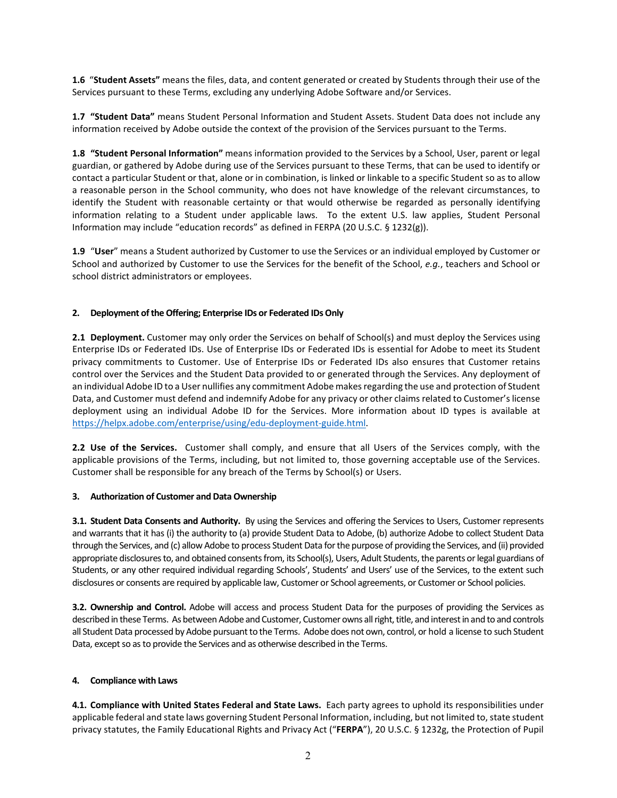**1.6** "**Student Assets"** means the files, data, and content generated or created by Students through their use of the Services pursuant to these Terms, excluding any underlying Adobe Software and/or Services.

**1.7 "Student Data"** means Student Personal Information and Student Assets. Student Data does not include any information received by Adobe outside the context of the provision of the Services pursuant to the Terms.

**1.8 "Student Personal Information"** means information provided to the Services by a School, User, parent or legal guardian, or gathered by Adobe during use of the Services pursuant to these Terms, that can be used to identify or contact a particular Student or that, alone or in combination, is linked or linkable to a specific Student so as to allow a reasonable person in the School community, who does not have knowledge of the relevant circumstances, to identify the Student with reasonable certainty or that would otherwise be regarded as personally identifying information relating to a Student under applicable laws. To the extent U.S. law applies, Student Personal Information may include "education records" as defined in FERPA (20 U.S.C. § 1232(g)).

**1.9** "**User**" means a Student authorized by Customer to use the Services or an individual employed by Customer or School and authorized by Customer to use the Services for the benefit of the School, *e.g.*, teachers and School or school district administrators or employees.

### **2. Deployment of the Offering; Enterprise IDs or Federated IDs Only**

**2.1 Deployment.** Customer may only order the Services on behalf of School(s) and must deploy the Services using Enterprise IDs or Federated IDs. Use of Enterprise IDs or Federated IDs is essential for Adobe to meet its Student privacy commitments to Customer. Use of Enterprise IDs or Federated IDs also ensures that Customer retains control over the Services and the Student Data provided to or generated through the Services. Any deployment of an individual Adobe ID to a User nullifies any commitment Adobe makesregarding the use and protection of Student Data, and Customer must defend and indemnify Adobe for any privacy or other claims related to Customer's license deployment using an individual Adobe ID for the Services. More information about ID types is available at [https://helpx.adobe.com/enterprise/using/edu-deployment-guide.html.](https://helpx.adobe.com/enterprise/using/edu-deployment-guide.html)

**2.2 Use of the Services.** Customer shall comply, and ensure that all Users of the Services comply, with the applicable provisions of the Terms, including, but not limited to, those governing acceptable use of the Services. Customer shall be responsible for any breach of the Terms by School(s) or Users.

#### **3. Authorization of Customer and Data Ownership**

**3.1. Student Data Consents and Authority.** By using the Services and offering the Services to Users, Customer represents and warrants that it has (i) the authority to (a) provide Student Data to Adobe, (b) authorize Adobe to collect Student Data through the Services, and (c) allow Adobe to process Student Data for the purpose of providing the Services, and (ii) provided appropriate disclosures to, and obtained consents from, its School(s), Users, Adult Students, the parents or legal guardians of Students, or any other required individual regarding Schools', Students' and Users' use of the Services, to the extent such disclosures or consents are required by applicable law, Customer or School agreements, or Customer or School policies.

**3.2. Ownership and Control.** Adobe will access and process Student Data for the purposes of providing the Services as described in these Terms. As between Adobe and Customer, Customer owns all right, title, and interest in and to and controls all Student Data processed by Adobe pursuant to the Terms. Adobe does not own, control, or hold a license to such Student Data, except so as to provide the Services and as otherwise described in the Terms.

#### **4. Compliance with Laws**

**4.1. Compliance with United States Federal and State Laws.** Each party agrees to uphold its responsibilities under applicable federal and state laws governing Student Personal Information, including, but not limited to, state student privacy statutes, the Family Educational Rights and Privacy Act ("**FERPA**"), 20 U.S.C. § 1232g, the Protection of Pupil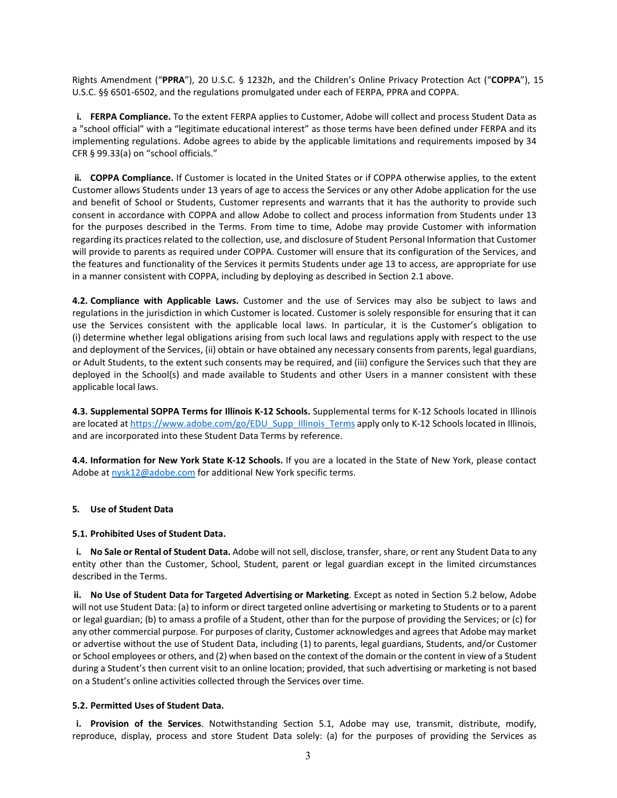Rights Amendment ("**PPRA**"), 20 U.S.C. § 1232h, and the Children's Online Privacy Protection Act ("**COPPA**"), 15 U.S.C. §§ 6501-6502, and the regulations promulgated under each of FERPA, PPRA and COPPA.

**i. FERPA Compliance.** To the extent FERPA applies to Customer, Adobe will collect and process Student Data as a "school official" with a "legitimate educational interest" as those terms have been defined under FERPA and its implementing regulations. Adobe agrees to abide by the applicable limitations and requirements imposed by 34 CFR § 99.33(a) on "school officials."

**ii. COPPA Compliance.** If Customer is located in the United States or if COPPA otherwise applies, to the extent Customer allows Students under 13 years of age to access the Services or any other Adobe application for the use and benefit of School or Students, Customer represents and warrants that it has the authority to provide such consent in accordance with COPPA and allow Adobe to collect and process information from Students under 13 for the purposes described in the Terms. From time to time, Adobe may provide Customer with information regarding its practices related to the collection, use, and disclosure of Student Personal Information that Customer will provide to parents as required under COPPA. Customer will ensure that its configuration of the Services, and the features and functionality of the Services it permits Students under age 13 to access, are appropriate for use in a manner consistent with COPPA, including by deploying as described in Section 2.1 above.

**4.2. Compliance with Applicable Laws.** Customer and the use of Services may also be subject to laws and regulations in the jurisdiction in which Customer is located. Customer is solely responsible for ensuring that it can use the Services consistent with the applicable local laws. In particular, it is the Customer's obligation to (i) determine whether legal obligations arising from such local laws and regulations apply with respect to the use and deployment of the Services, (ii) obtain or have obtained any necessary consents from parents, legal guardians, or Adult Students, to the extent such consents may be required, and (iii) configure the Services such that they are deployed in the School(s) and made available to Students and other Users in a manner consistent with these applicable local laws.

**4.3. Supplemental SOPPA Terms for Illinois K-12 Schools.** Supplemental terms for K-12 Schools located in Illinois are located at [https://www.adobe.com/go/EDU\\_Supp\\_Illinois\\_Terms](https://www.adobe.com/go/EDU_Supp_Illinois_Terms) apply only to K-12 Schools located in Illinois, and are incorporated into these Student Data Terms by reference.

**4.4. Information for New York State K-12 Schools.** If you are a located in the State of New York, please contact Adobe at [nysk12@adobe.com](mailto:nysk12@adobe.com) for additional New York specific terms.

#### **5. Use of Student Data**

#### **5.1. Prohibited Uses of Student Data.**

**i. No Sale or Rental of Student Data.** Adobe will not sell, disclose, transfer, share, or rent any Student Data to any entity other than the Customer, School, Student, parent or legal guardian except in the limited circumstances described in the Terms.

**ii. No Use of Student Data for Targeted Advertising or Marketing**. Except as noted in Section 5.2 below, Adobe will not use Student Data: (a) to inform or direct targeted online advertising or marketing to Students or to a parent or legal guardian; (b) to amass a profile of a Student, other than for the purpose of providing the Services; or (c) for any other commercial purpose. For purposes of clarity, Customer acknowledges and agreesthat Adobe may market or advertise without the use of Student Data, including (1) to parents, legal guardians, Students, and/or Customer or School employees or others, and (2) when based on the context of the domain or the content in view of a Student during a Student's then current visit to an online location; provided, that such advertising or marketing is not based on a Student's online activities collected through the Services over time.

#### **5.2. Permitted Uses of Student Data.**

**i. Provision of the Services**. Notwithstanding Section 5.1, Adobe may use, transmit, distribute, modify, reproduce, display, process and store Student Data solely: (a) for the purposes of providing the Services as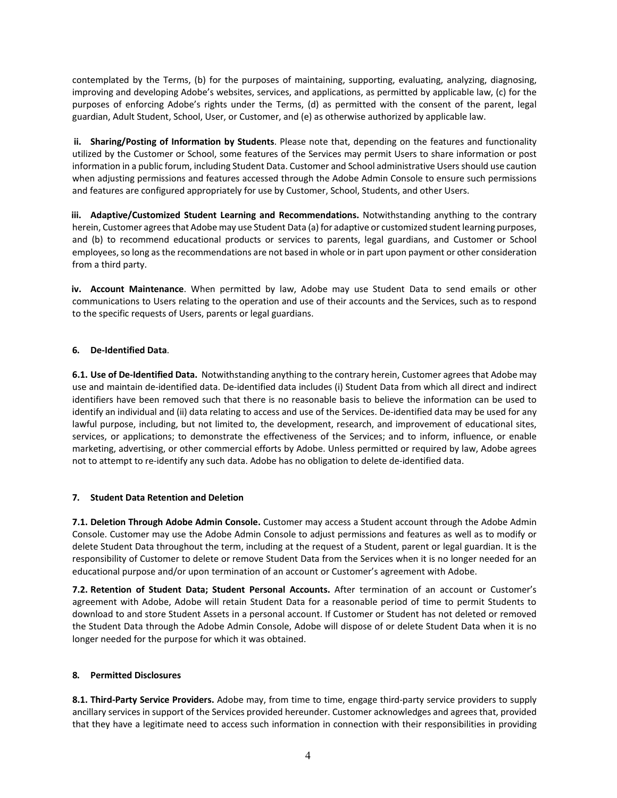contemplated by the Terms, (b) for the purposes of maintaining, supporting, evaluating, analyzing, diagnosing, improving and developing Adobe's websites, services, and applications, as permitted by applicable law, (c) for the purposes of enforcing Adobe's rights under the Terms, (d) as permitted with the consent of the parent, legal guardian, Adult Student, School, User, or Customer, and (e) as otherwise authorized by applicable law.

**ii. Sharing/Posting of Information by Students**. Please note that, depending on the features and functionality utilized by the Customer or School, some features of the Services may permit Users to share information or post information in a public forum, including Student Data. Customer and School administrative Users should use caution when adjusting permissions and features accessed through the Adobe Admin Console to ensure such permissions and features are configured appropriately for use by Customer, School, Students, and other Users.

**iii. Adaptive/Customized Student Learning and Recommendations.** Notwithstanding anything to the contrary herein, Customer agrees that Adobe may use Student Data (a) for adaptive or customized student learning purposes, and (b) to recommend educational products or services to parents, legal guardians, and Customer or School employees, so long as the recommendations are not based in whole or in part upon payment or other consideration from a third party.

**iv. Account Maintenance**. When permitted by law, Adobe may use Student Data to send emails or other communications to Users relating to the operation and use of their accounts and the Services, such as to respond to the specific requests of Users, parents or legal guardians.

## **6. De-Identified Data**.

**6.1. Use of De-Identified Data.** Notwithstanding anything to the contrary herein, Customer agrees that Adobe may use and maintain de-identified data. De-identified data includes (i) Student Data from which all direct and indirect identifiers have been removed such that there is no reasonable basis to believe the information can be used to identify an individual and (ii) data relating to access and use of the Services. De-identified data may be used for any lawful purpose, including, but not limited to, the development, research, and improvement of educational sites, services, or applications; to demonstrate the effectiveness of the Services; and to inform, influence, or enable marketing, advertising, or other commercial efforts by Adobe. Unless permitted or required by law, Adobe agrees not to attempt to re-identify any such data. Adobe has no obligation to delete de-identified data.

#### **7. Student Data Retention and Deletion**

**7.1. Deletion Through Adobe Admin Console.** Customer may access a Student account through the Adobe Admin Console. Customer may use the Adobe Admin Console to adjust permissions and features as well as to modify or delete Student Data throughout the term, including at the request of a Student, parent or legal guardian. It is the responsibility of Customer to delete or remove Student Data from the Services when it is no longer needed for an educational purpose and/or upon termination of an account or Customer's agreement with Adobe.

**7.2. Retention of Student Data; Student Personal Accounts.** After termination of an account or Customer's agreement with Adobe, Adobe will retain Student Data for a reasonable period of time to permit Students to download to and store Student Assets in a personal account. If Customer or Student has not deleted or removed the Student Data through the Adobe Admin Console, Adobe will dispose of or delete Student Data when it is no longer needed for the purpose for which it was obtained.

#### **8. Permitted Disclosures**

**8.1. Third-Party Service Providers.** Adobe may, from time to time, engage third-party service providers to supply ancillary services in support of the Services provided hereunder. Customer acknowledges and agrees that, provided that they have a legitimate need to access such information in connection with their responsibilities in providing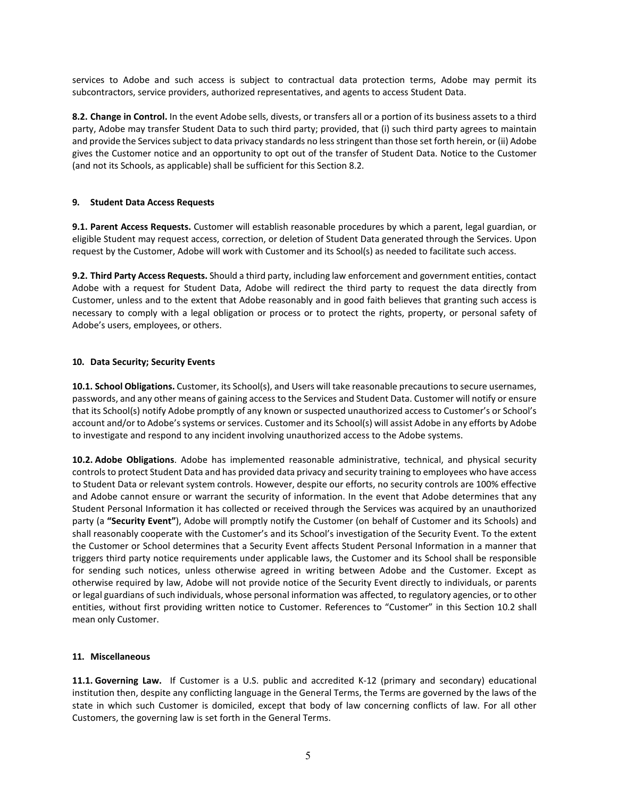services to Adobe and such access is subject to contractual data protection terms, Adobe may permit its subcontractors, service providers, authorized representatives, and agents to access Student Data.

**8.2. Change in Control.** In the event Adobe sells, divests, or transfers all or a portion of its business assets to a third party, Adobe may transfer Student Data to such third party; provided, that (i) such third party agrees to maintain and provide the Services subject to data privacy standards no less stringent than those set forth herein, or (ii) Adobe gives the Customer notice and an opportunity to opt out of the transfer of Student Data. Notice to the Customer (and not its Schools, as applicable) shall be sufficient for this Section 8.2.

### **9. Student Data Access Requests**

**9.1. Parent Access Requests.** Customer will establish reasonable procedures by which a parent, legal guardian, or eligible Student may request access, correction, or deletion of Student Data generated through the Services. Upon request by the Customer, Adobe will work with Customer and its School(s) as needed to facilitate such access.

**9.2. Third Party Access Requests.** Should a third party, including law enforcement and government entities, contact Adobe with a request for Student Data, Adobe will redirect the third party to request the data directly from Customer, unless and to the extent that Adobe reasonably and in good faith believes that granting such access is necessary to comply with a legal obligation or process or to protect the rights, property, or personal safety of Adobe's users, employees, or others.

#### **10. Data Security; Security Events**

**10.1. School Obligations.** Customer, its School(s), and Users will take reasonable precautions to secure usernames, passwords, and any other means of gaining access to the Services and Student Data. Customer will notify or ensure that its School(s) notify Adobe promptly of any known or suspected unauthorized access to Customer's or School's account and/or to Adobe's systems or services. Customer and its School(s) will assist Adobe in any efforts by Adobe to investigate and respond to any incident involving unauthorized access to the Adobe systems.

**10.2. Adobe Obligations**. Adobe has implemented reasonable administrative, technical, and physical security controls to protect Student Data and has provided data privacy and security training to employees who have access to Student Data or relevant system controls. However, despite our efforts, no security controls are 100% effective and Adobe cannot ensure or warrant the security of information. In the event that Adobe determines that any Student Personal Information it has collected or received through the Services was acquired by an unauthorized party (a **"Security Event"**), Adobe will promptly notify the Customer (on behalf of Customer and its Schools) and shall reasonably cooperate with the Customer's and its School's investigation of the Security Event. To the extent the Customer or School determines that a Security Event affects Student Personal Information in a manner that triggers third party notice requirements under applicable laws, the Customer and its School shall be responsible for sending such notices, unless otherwise agreed in writing between Adobe and the Customer. Except as otherwise required by law, Adobe will not provide notice of the Security Event directly to individuals, or parents or legal guardians of such individuals, whose personal information was affected, to regulatory agencies, or to other entities, without first providing written notice to Customer. References to "Customer" in this Section 10.2 shall mean only Customer.

#### **11. Miscellaneous**

**11.1. Governing Law.** If Customer is a U.S. public and accredited K-12 (primary and secondary) educational institution then, despite any conflicting language in the General Terms, the Terms are governed by the laws of the state in which such Customer is domiciled, except that body of law concerning conflicts of law. For all other Customers, the governing law is set forth in the General Terms.